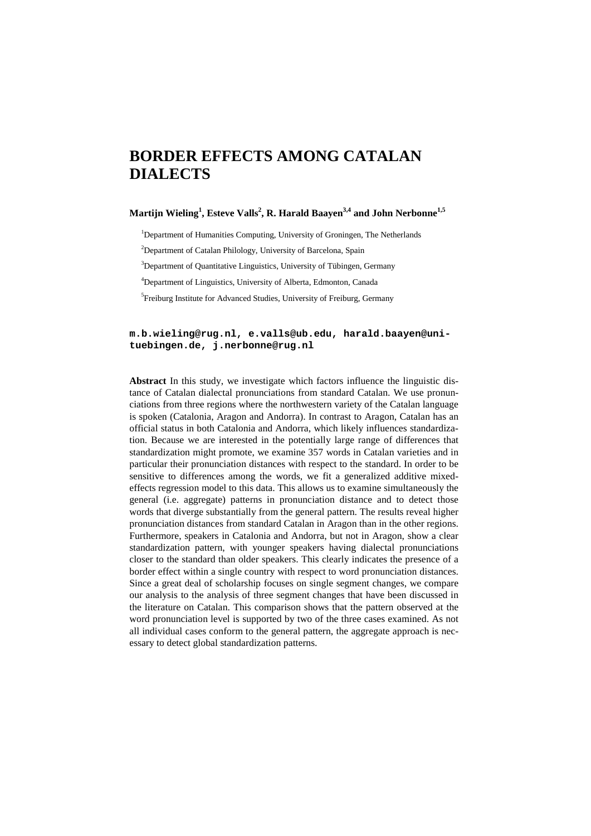# **BORDER EFFECTS AMONG CATALAN DIALECTS**

## **Martijn Wieling<sup>1</sup> , Esteve Valls2 , R. Harald Baayen3,4 and John Nerbonne1,5**

<sup>1</sup>Department of Humanities Computing, University of Groningen, The Netherlands

<sup>2</sup>Department of Catalan Philology, University of Barcelona, Spain

<sup>3</sup>Department of Quantitative Linguistics, University of Tübingen, Germany

4 Department of Linguistics, University of Alberta, Edmonton, Canada

<sup>5</sup> Freiburg Institute for Advanced Studies, University of Freiburg, Germany

### **m.b.wieling@rug.nl, e.valls@ub.edu, harald.baayen@unituebingen.de, j.nerbonne@rug.nl**

**Abstract** In this study, we investigate which factors influence the linguistic distance of Catalan dialectal pronunciations from standard Catalan. We use pronunciations from three regions where the northwestern variety of the Catalan language is spoken (Catalonia, Aragon and Andorra). In contrast to Aragon, Catalan has an official status in both Catalonia and Andorra, which likely influences standardization. Because we are interested in the potentially large range of differences that standardization might promote, we examine 357 words in Catalan varieties and in particular their pronunciation distances with respect to the standard. In order to be sensitive to differences among the words, we fit a generalized additive mixedeffects regression model to this data. This allows us to examine simultaneously the general (i.e. aggregate) patterns in pronunciation distance and to detect those words that diverge substantially from the general pattern. The results reveal higher pronunciation distances from standard Catalan in Aragon than in the other regions. Furthermore, speakers in Catalonia and Andorra, but not in Aragon, show a clear standardization pattern, with younger speakers having dialectal pronunciations closer to the standard than older speakers. This clearly indicates the presence of a border effect within a single country with respect to word pronunciation distances. Since a great deal of scholarship focuses on single segment changes, we compare our analysis to the analysis of three segment changes that have been discussed in the literature on Catalan. This comparison shows that the pattern observed at the word pronunciation level is supported by two of the three cases examined. As not all individual cases conform to the general pattern, the aggregate approach is necessary to detect global standardization patterns.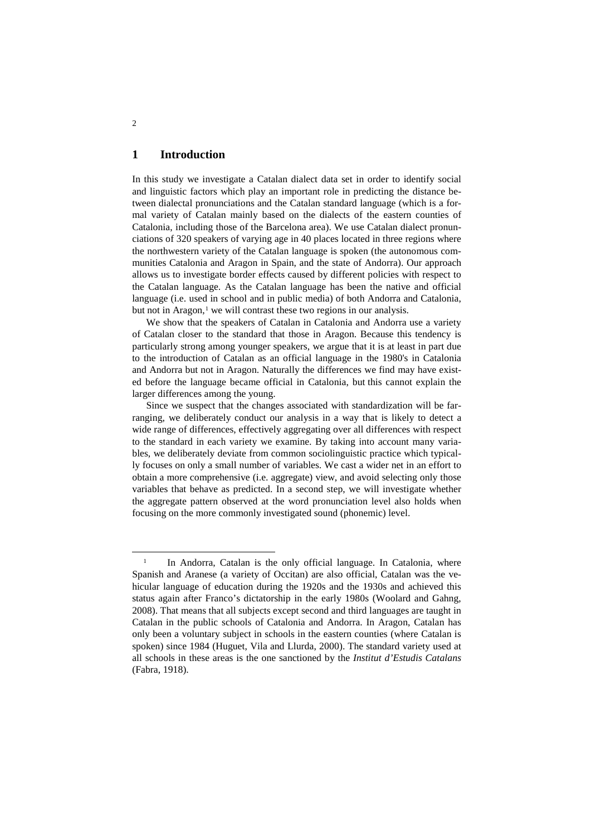## **1 Introduction**

In this study we investigate a Catalan dialect data set in order to identify social and linguistic factors which play an important role in predicting the distance between dialectal pronunciations and the Catalan standard language (which is a formal variety of Catalan mainly based on the dialects of the eastern counties of Catalonia, including those of the Barcelona area). We use Catalan dialect pronunciations of 320 speakers of varying age in 40 places located in three regions where the northwestern variety of the Catalan language is spoken (the autonomous communities Catalonia and Aragon in Spain, and the state of Andorra). Our approach allows us to investigate border effects caused by different policies with respect to the Catalan language. As the Catalan language has been the native and official language (i.e. used in school and in public media) of both Andorra and Catalonia, but not in Aragon, $<sup>1</sup>$  $<sup>1</sup>$  $<sup>1</sup>$  we will contrast these two regions in our analysis.</sup>

We show that the speakers of Catalan in Catalonia and Andorra use a variety of Catalan closer to the standard that those in Aragon. Because this tendency is particularly strong among younger speakers, we argue that it is at least in part due to the introduction of Catalan as an official language in the 1980's in Catalonia and Andorra but not in Aragon. Naturally the differences we find may have existed before the language became official in Catalonia, but this cannot explain the larger differences among the young.

Since we suspect that the changes associated with standardization will be farranging, we deliberately conduct our analysis in a way that is likely to detect a wide range of differences, effectively aggregating over all differences with respect to the standard in each variety we examine. By taking into account many variables, we deliberately deviate from common sociolinguistic practice which typically focuses on only a small number of variables. We cast a wider net in an effort to obtain a more comprehensive (i.e. aggregate) view, and avoid selecting only those variables that behave as predicted. In a second step, we will investigate whether the aggregate pattern observed at the word pronunciation level also holds when focusing on the more commonly investigated sound (phonemic) level.

2

<span id="page-1-0"></span> $1$  In Andorra, Catalan is the only official language. In Catalonia, where Spanish and Aranese (a variety of Occitan) are also official, Catalan was the vehicular language of education during the 1920s and the 1930s and achieved this status again after Franco's dictatorship in the early 1980s (Woolard and Gahng, 2008). That means that all subjects except second and third languages are taught in Catalan in the public schools of Catalonia and Andorra. In Aragon, Catalan has only been a voluntary subject in schools in the eastern counties (where Catalan is spoken) since 1984 (Huguet, Vila and Llurda, 2000). The standard variety used at all schools in these areas is the one sanctioned by the *Institut d'Estudis Catalans* (Fabra, 1918).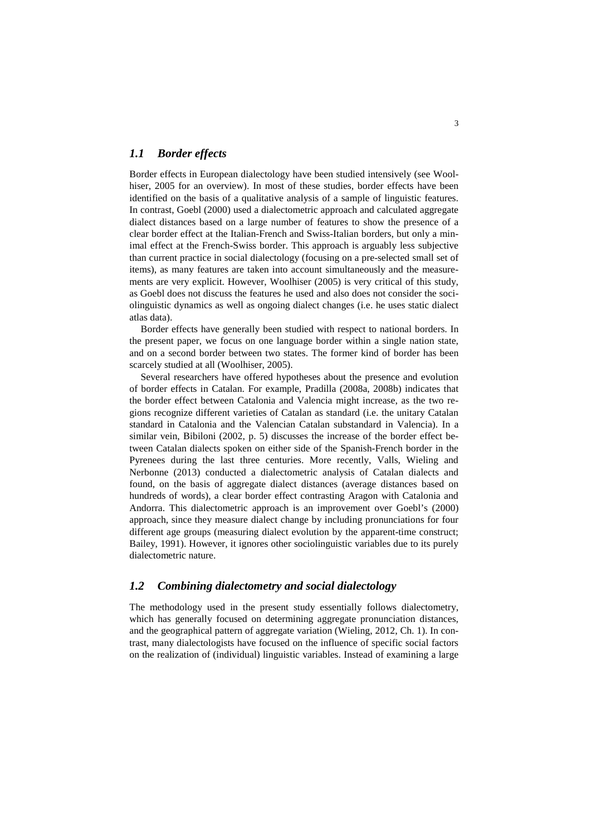#### *1.1 Border effects*

Border effects in European dialectology have been studied intensively (see Woolhiser, 2005 for an overview). In most of these studies, border effects have been identified on the basis of a qualitative analysis of a sample of linguistic features. In contrast, Goebl (2000) used a dialectometric approach and calculated aggregate dialect distances based on a large number of features to show the presence of a clear border effect at the Italian-French and Swiss-Italian borders, but only a minimal effect at the French-Swiss border. This approach is arguably less subjective than current practice in social dialectology (focusing on a pre-selected small set of items), as many features are taken into account simultaneously and the measurements are very explicit. However, Woolhiser (2005) is very critical of this study, as Goebl does not discuss the features he used and also does not consider the sociolinguistic dynamics as well as ongoing dialect changes (i.e. he uses static dialect atlas data).

Border effects have generally been studied with respect to national borders. In the present paper, we focus on one language border within a single nation state, and on a second border between two states. The former kind of border has been scarcely studied at all (Woolhiser, 2005).

Several researchers have offered hypotheses about the presence and evolution of border effects in Catalan. For example, Pradilla (2008a, 2008b) indicates that the border effect between Catalonia and Valencia might increase, as the two regions recognize different varieties of Catalan as standard (i.e. the unitary Catalan standard in Catalonia and the Valencian Catalan substandard in Valencia). In a similar vein, Bibiloni (2002, p. 5) discusses the increase of the border effect between Catalan dialects spoken on either side of the Spanish-French border in the Pyrenees during the last three centuries. More recently, Valls, Wieling and Nerbonne (2013) conducted a dialectometric analysis of Catalan dialects and found, on the basis of aggregate dialect distances (average distances based on hundreds of words), a clear border effect contrasting Aragon with Catalonia and Andorra. This dialectometric approach is an improvement over Goebl's (2000) approach, since they measure dialect change by including pronunciations for four different age groups (measuring dialect evolution by the apparent-time construct; Bailey, 1991). However, it ignores other sociolinguistic variables due to its purely dialectometric nature.

## *1.2 Combining dialectometry and social dialectology*

The methodology used in the present study essentially follows dialectometry, which has generally focused on determining aggregate pronunciation distances, and the geographical pattern of aggregate variation (Wieling, 2012, Ch. 1). In contrast, many dialectologists have focused on the influence of specific social factors on the realization of (individual) linguistic variables. Instead of examining a large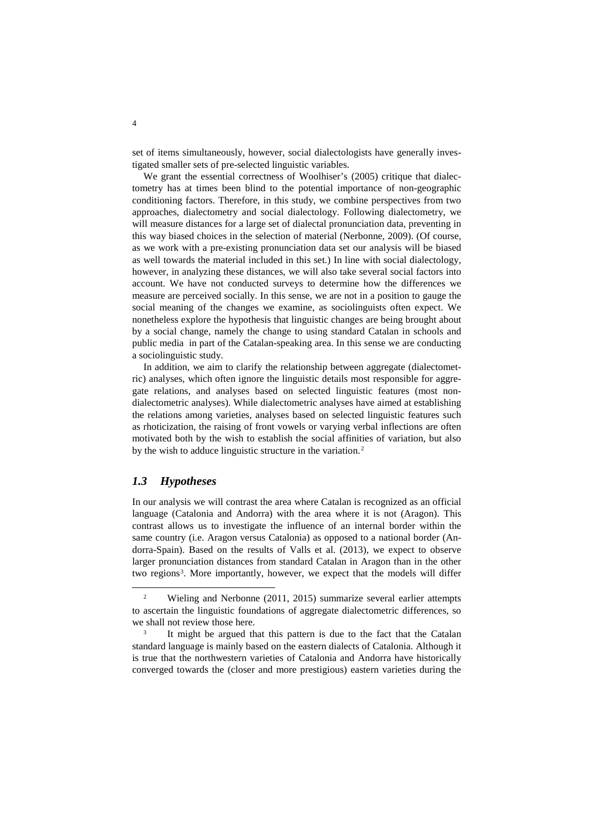set of items simultaneously, however, social dialectologists have generally investigated smaller sets of pre-selected linguistic variables.

We grant the essential correctness of Woolhiser's (2005) critique that dialectometry has at times been blind to the potential importance of non-geographic conditioning factors. Therefore, in this study, we combine perspectives from two approaches, dialectometry and social dialectology. Following dialectometry, we will measure distances for a large set of dialectal pronunciation data, preventing in this way biased choices in the selection of material (Nerbonne, 2009). (Of course, as we work with a pre-existing pronunciation data set our analysis will be biased as well towards the material included in this set.) In line with social dialectology, however, in analyzing these distances, we will also take several social factors into account. We have not conducted surveys to determine how the differences we measure are perceived socially. In this sense, we are not in a position to gauge the social meaning of the changes we examine, as sociolinguists often expect. We nonetheless explore the hypothesis that linguistic changes are being brought about by a social change, namely the change to using standard Catalan in schools and public media in part of the Catalan-speaking area. In this sense we are conducting a sociolinguistic study.

In addition, we aim to clarify the relationship between aggregate (dialectometric) analyses, which often ignore the linguistic details most responsible for aggregate relations, and analyses based on selected linguistic features (most nondialectometric analyses). While dialectometric analyses have aimed at establishing the relations among varieties, analyses based on selected linguistic features such as rhoticization, the raising of front vowels or varying verbal inflections are often motivated both by the wish to establish the social affinities of variation, but also by the wish to adduce linguistic structure in the variation.<sup>[2](#page-3-0)</sup>

#### *1.3 Hypotheses*

In our analysis we will contrast the area where Catalan is recognized as an official language (Catalonia and Andorra) with the area where it is not (Aragon). This contrast allows us to investigate the influence of an internal border within the same country (i.e. Aragon versus Catalonia) as opposed to a national border (Andorra-Spain). Based on the results of Valls et al. (2013), we expect to observe larger pronunciation distances from standard Catalan in Aragon than in the other two regions<sup>3</sup>. More importantly, however, we expect that the models will differ

<span id="page-3-0"></span> <sup>2</sup> Wieling and Nerbonne (2011, 2015) summarize several earlier attempts to ascertain the linguistic foundations of aggregate dialectometric differences, so we shall not review those here.

<span id="page-3-1"></span><sup>&</sup>lt;sup>3</sup> It might be argued that this pattern is due to the fact that the Catalan standard language is mainly based on the eastern dialects of Catalonia. Although it is true that the northwestern varieties of Catalonia and Andorra have historically converged towards the (closer and more prestigious) eastern varieties during the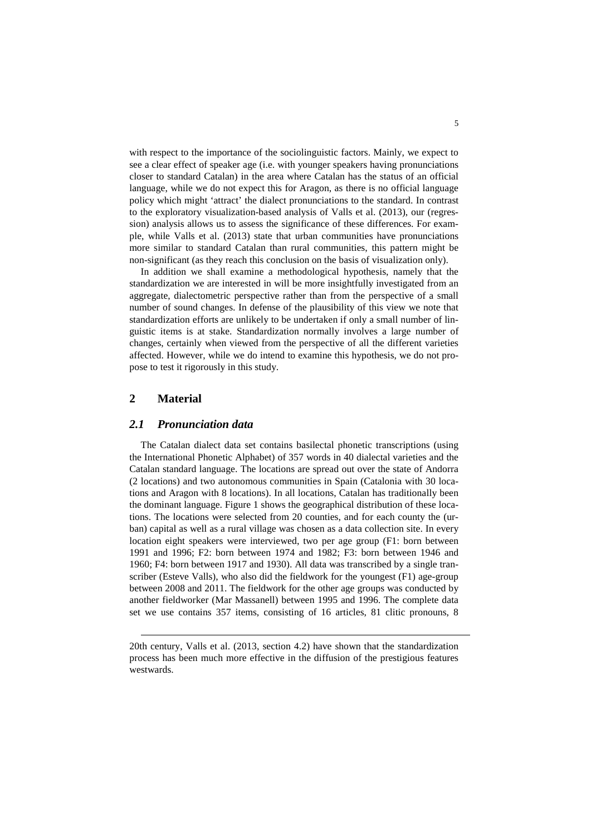with respect to the importance of the sociolinguistic factors. Mainly, we expect to see a clear effect of speaker age (i.e. with younger speakers having pronunciations closer to standard Catalan) in the area where Catalan has the status of an official language, while we do not expect this for Aragon, as there is no official language policy which might 'attract' the dialect pronunciations to the standard. In contrast to the exploratory visualization-based analysis of Valls et al. (2013), our (regression) analysis allows us to assess the significance of these differences. For example, while Valls et al. (2013) state that urban communities have pronunciations more similar to standard Catalan than rural communities, this pattern might be non-significant (as they reach this conclusion on the basis of visualization only).

In addition we shall examine a methodological hypothesis, namely that the standardization we are interested in will be more insightfully investigated from an aggregate, dialectometric perspective rather than from the perspective of a small number of sound changes. In defense of the plausibility of this view we note that standardization efforts are unlikely to be undertaken if only a small number of linguistic items is at stake. Standardization normally involves a large number of changes, certainly when viewed from the perspective of all the different varieties affected. However, while we do intend to examine this hypothesis, we do not propose to test it rigorously in this study.

## **2 Material**

1

#### *2.1 Pronunciation data*

The Catalan dialect data set contains basilectal phonetic transcriptions (using the International Phonetic Alphabet) of 357 words in 40 dialectal varieties and the Catalan standard language. The locations are spread out over the state of Andorra (2 locations) and two autonomous communities in Spain (Catalonia with 30 locations and Aragon with 8 locations). In all locations, Catalan has traditionally been the dominant language. Figure 1 shows the geographical distribution of these locations. The locations were selected from 20 counties, and for each county the (urban) capital as well as a rural village was chosen as a data collection site. In every location eight speakers were interviewed, two per age group (F1: born between 1991 and 1996; F2: born between 1974 and 1982; F3: born between 1946 and 1960; F4: born between 1917 and 1930). All data was transcribed by a single transcriber (Esteve Valls), who also did the fieldwork for the youngest (F1) age-group between 2008 and 2011. The fieldwork for the other age groups was conducted by another fieldworker (Mar Massanell) between 1995 and 1996. The complete data set we use contains 357 items, consisting of 16 articles, 81 clitic pronouns, 8

<sup>20</sup>th century, Valls et al. (2013, section 4.2) have shown that the standardization process has been much more effective in the diffusion of the prestigious features westwards.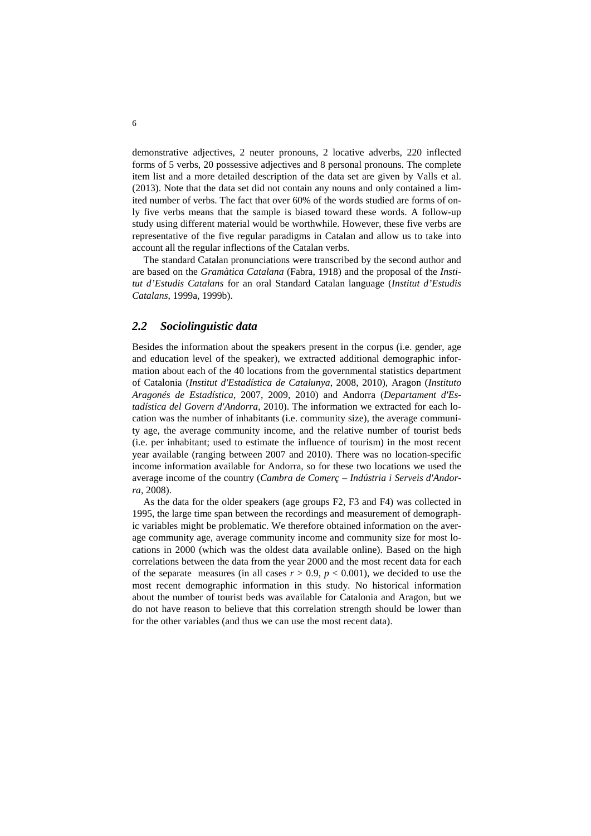demonstrative adjectives, 2 neuter pronouns, 2 locative adverbs, 220 inflected forms of 5 verbs, 20 possessive adjectives and 8 personal pronouns. The complete item list and a more detailed description of the data set are given by Valls et al. (2013). Note that the data set did not contain any nouns and only contained a limited number of verbs. The fact that over 60% of the words studied are forms of only five verbs means that the sample is biased toward these words. A follow-up study using different material would be worthwhile. However, these five verbs are representative of the five regular paradigms in Catalan and allow us to take into account all the regular inflections of the Catalan verbs.

The standard Catalan pronunciations were transcribed by the second author and are based on the *Gramàtica Catalana* (Fabra, 1918) and the proposal of the *Institut d'Estudis Catalans* for an oral Standard Catalan language (*Institut d'Estudis Catalans*, 1999a, 1999b).

#### *2.2 Sociolinguistic data*

Besides the information about the speakers present in the corpus (i.e. gender, age and education level of the speaker), we extracted additional demographic information about each of the 40 locations from the governmental statistics department of Catalonia (*Institut d'Estadística de Catalunya*, 2008, 2010), Aragon (*Instituto Aragonés de Estadística*, 2007, 2009, 2010) and Andorra (*Departament d'Estadística del Govern d'Andorra*, 2010). The information we extracted for each location was the number of inhabitants (i.e. community size), the average community age, the average community income, and the relative number of tourist beds (i.e. per inhabitant; used to estimate the influence of tourism) in the most recent year available (ranging between 2007 and 2010). There was no location-specific income information available for Andorra, so for these two locations we used the average income of the country (*Cambra de Comerç – Indústria i Serveis d'Andorra*, 2008).

As the data for the older speakers (age groups F2, F3 and F4) was collected in 1995, the large time span between the recordings and measurement of demographic variables might be problematic. We therefore obtained information on the average community age, average community income and community size for most locations in 2000 (which was the oldest data available online). Based on the high correlations between the data from the year 2000 and the most recent data for each of the separate measures (in all cases  $r > 0.9$ ,  $p < 0.001$ ), we decided to use the most recent demographic information in this study. No historical information about the number of tourist beds was available for Catalonia and Aragon, but we do not have reason to believe that this correlation strength should be lower than for the other variables (and thus we can use the most recent data).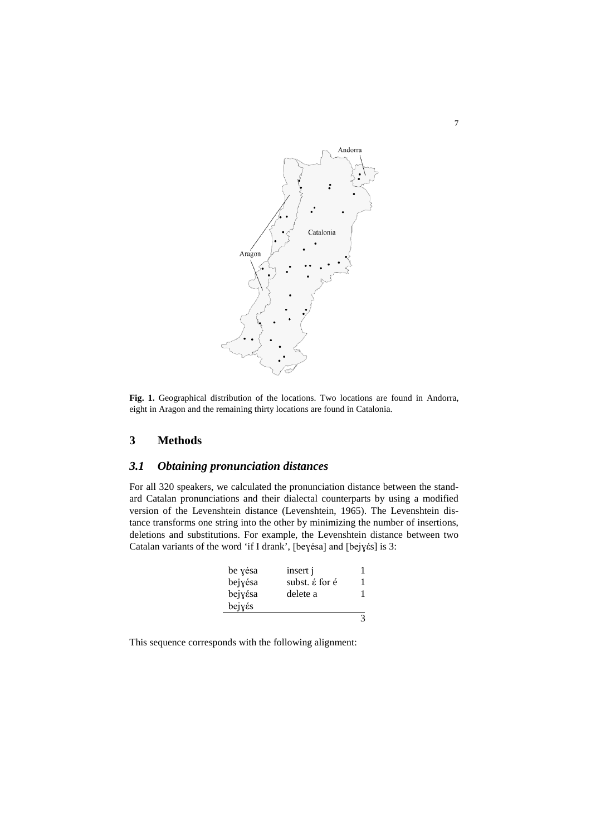

**Fig. 1.** Geographical distribution of the locations. Two locations are found in Andorra, eight in Aragon and the remaining thirty locations are found in Catalonia.

## **3 Methods**

## *3.1 Obtaining pronunciation distances*

For all 320 speakers, we calculated the pronunciation distance between the standard Catalan pronunciations and their dialectal counterparts by using a modified version of the Levenshtein distance (Levenshtein, 1965). The Levenshtein distance transforms one string into the other by minimizing the number of insertions, deletions and substitutions. For example, the Levenshtein distance between two Catalan variants of the word 'if I drank', [beɣésa] and [bejɣέs] is 3:

| be yésa | insert j                                         |   |
|---------|--------------------------------------------------|---|
| bejyésa | subst. $\acute{\text{e}}$ for $\acute{\text{e}}$ |   |
| bejyésa | delete a                                         |   |
| bejyés  |                                                  |   |
|         |                                                  | 3 |

This sequence corresponds with the following alignment: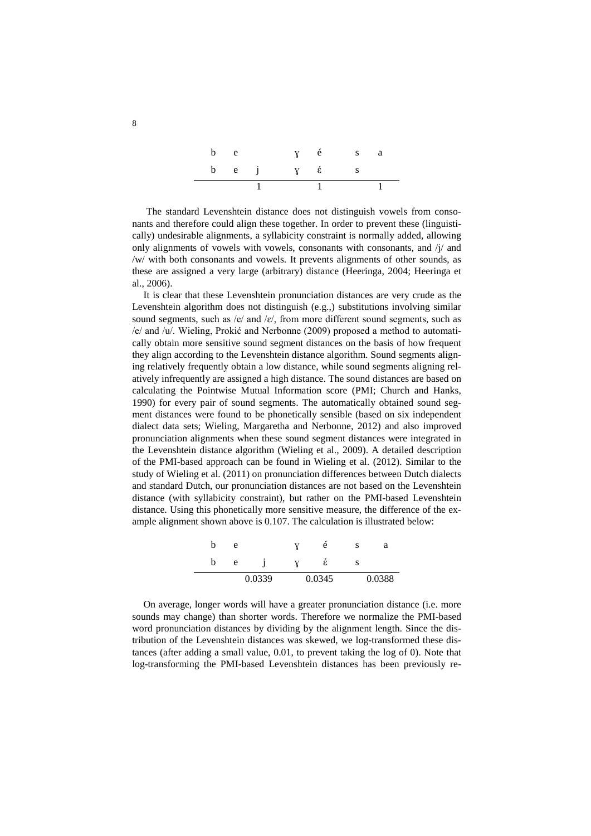| b e | $\mathbf{V}$                     | e s |  |
|-----|----------------------------------|-----|--|
|     | b e j $y \t\t\acute{\epsilon}$ s |     |  |
|     |                                  |     |  |

The standard Levenshtein distance does not distinguish vowels from consonants and therefore could align these together. In order to prevent these (linguistically) undesirable alignments, a syllabicity constraint is normally added, allowing only alignments of vowels with vowels, consonants with consonants, and /j/ and /w/ with both consonants and vowels. It prevents alignments of other sounds, as these are assigned a very large (arbitrary) distance (Heeringa, 2004; Heeringa et al., 2006).

It is clear that these Levenshtein pronunciation distances are very crude as the Levenshtein algorithm does not distinguish (e.g.,) substitutions involving similar sound segments, such as /e/ and / $\varepsilon$ /, from more different sound segments, such as /e/ and /u/. Wieling, Prokić and Nerbonne (2009) proposed a method to automatically obtain more sensitive sound segment distances on the basis of how frequent they align according to the Levenshtein distance algorithm. Sound segments aligning relatively frequently obtain a low distance, while sound segments aligning relatively infrequently are assigned a high distance. The sound distances are based on calculating the Pointwise Mutual Information score (PMI; Church and Hanks, 1990) for every pair of sound segments. The automatically obtained sound segment distances were found to be phonetically sensible (based on six independent dialect data sets; Wieling, Margaretha and Nerbonne, 2012) and also improved pronunciation alignments when these sound segment distances were integrated in the Levenshtein distance algorithm (Wieling et al., 2009). A detailed description of the PMI-based approach can be found in Wieling et al. (2012). Similar to the study of Wieling et al. (2011) on pronunciation differences between Dutch dialects and standard Dutch, our pronunciation distances are not based on the Levenshtein distance (with syllabicity constraint), but rather on the PMI-based Levenshtein distance. Using this phonetically more sensitive measure, the difference of the example alignment shown above is 0.107. The calculation is illustrated below:

| n | e |        |        | a      |
|---|---|--------|--------|--------|
| h | e |        |        |        |
|   |   | 0.0339 | 0.0345 | 0.0388 |

On average, longer words will have a greater pronunciation distance (i.e. more sounds may change) than shorter words. Therefore we normalize the PMI-based word pronunciation distances by dividing by the alignment length. Since the distribution of the Levenshtein distances was skewed, we log-transformed these distances (after adding a small value, 0.01, to prevent taking the log of 0). Note that log-transforming the PMI-based Levenshtein distances has been previously re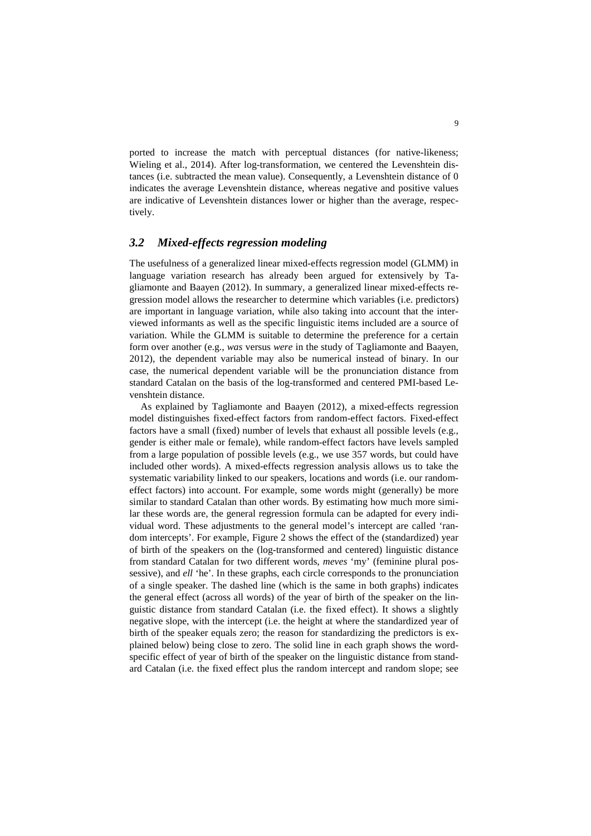ported to increase the match with perceptual distances (for native-likeness; Wieling et al., 2014). After log-transformation, we centered the Levenshtein distances (i.e. subtracted the mean value). Consequently, a Levenshtein distance of 0 indicates the average Levenshtein distance, whereas negative and positive values are indicative of Levenshtein distances lower or higher than the average, respectively.

#### *3.2 Mixed-effects regression modeling*

The usefulness of a generalized linear mixed-effects regression model (GLMM) in language variation research has already been argued for extensively by Tagliamonte and Baayen (2012). In summary, a generalized linear mixed-effects regression model allows the researcher to determine which variables (i.e. predictors) are important in language variation, while also taking into account that the interviewed informants as well as the specific linguistic items included are a source of variation. While the GLMM is suitable to determine the preference for a certain form over another (e.g., *was* versus *were* in the study of Tagliamonte and Baayen, 2012), the dependent variable may also be numerical instead of binary. In our case, the numerical dependent variable will be the pronunciation distance from standard Catalan on the basis of the log-transformed and centered PMI-based Levenshtein distance.

As explained by Tagliamonte and Baayen (2012), a mixed-effects regression model distinguishes fixed-effect factors from random-effect factors. Fixed-effect factors have a small (fixed) number of levels that exhaust all possible levels (e.g., gender is either male or female), while random-effect factors have levels sampled from a large population of possible levels (e.g., we use 357 words, but could have included other words). A mixed-effects regression analysis allows us to take the systematic variability linked to our speakers, locations and words (i.e. our randomeffect factors) into account. For example, some words might (generally) be more similar to standard Catalan than other words. By estimating how much more similar these words are, the general regression formula can be adapted for every individual word. These adjustments to the general model's intercept are called 'random intercepts'. For example, Figure 2 shows the effect of the (standardized) year of birth of the speakers on the (log-transformed and centered) linguistic distance from standard Catalan for two different words, *meves* 'my' (feminine plural possessive), and *ell* 'he'. In these graphs, each circle corresponds to the pronunciation of a single speaker. The dashed line (which is the same in both graphs) indicates the general effect (across all words) of the year of birth of the speaker on the linguistic distance from standard Catalan (i.e. the fixed effect). It shows a slightly negative slope, with the intercept (i.e. the height at where the standardized year of birth of the speaker equals zero; the reason for standardizing the predictors is explained below) being close to zero. The solid line in each graph shows the wordspecific effect of year of birth of the speaker on the linguistic distance from standard Catalan (i.e. the fixed effect plus the random intercept and random slope; see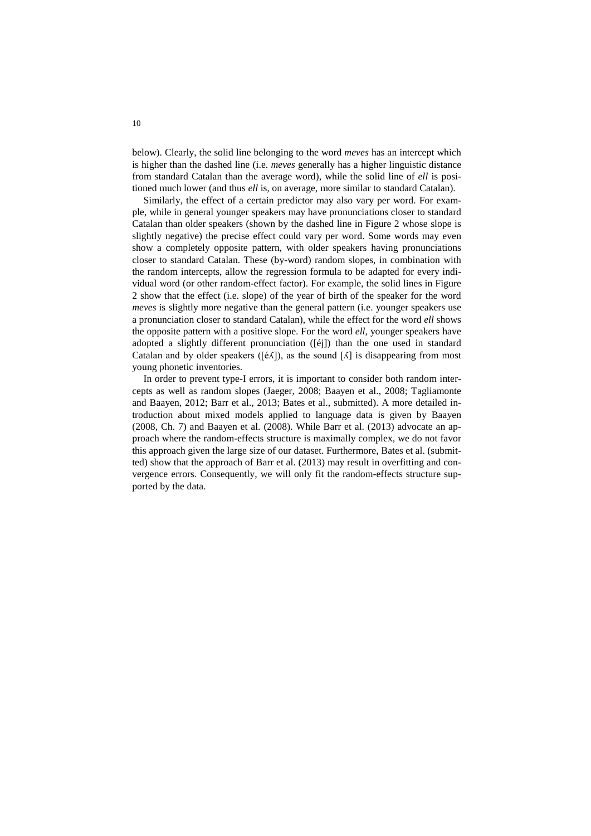below). Clearly, the solid line belonging to the word *meves* has an intercept which is higher than the dashed line (i.e. *meves* generally has a higher linguistic distance from standard Catalan than the average word), while the solid line of *ell* is positioned much lower (and thus *ell* is, on average, more similar to standard Catalan).

Similarly, the effect of a certain predictor may also vary per word. For example, while in general younger speakers may have pronunciations closer to standard Catalan than older speakers (shown by the dashed line in Figure 2 whose slope is slightly negative) the precise effect could vary per word. Some words may even show a completely opposite pattern, with older speakers having pronunciations closer to standard Catalan. These (by-word) random slopes, in combination with the random intercepts, allow the regression formula to be adapted for every individual word (or other random-effect factor). For example, the solid lines in Figure 2 show that the effect (i.e. slope) of the year of birth of the speaker for the word *meves* is slightly more negative than the general pattern (i.e. younger speakers use a pronunciation closer to standard Catalan), while the effect for the word *ell* shows the opposite pattern with a positive slope. For the word *ell*, younger speakers have adopted a slightly different pronunciation ([éj]) than the one used in standard Catalan and by older speakers ( $[\hat{\epsilon}\hat{\Lambda}]$ ), as the sound  $[\hat{\Lambda}]$  is disappearing from most young phonetic inventories.

In order to prevent type-I errors, it is important to consider both random intercepts as well as random slopes (Jaeger, 2008; Baayen et al., 2008; Tagliamonte and Baayen, 2012; Barr et al., 2013; Bates et al., submitted). A more detailed introduction about mixed models applied to language data is given by Baayen (2008, Ch. 7) and Baayen et al. (2008). While Barr et al. (2013) advocate an approach where the random-effects structure is maximally complex, we do not favor this approach given the large size of our dataset. Furthermore, Bates et al. (submitted) show that the approach of Barr et al. (2013) may result in overfitting and convergence errors. Consequently, we will only fit the random-effects structure supported by the data.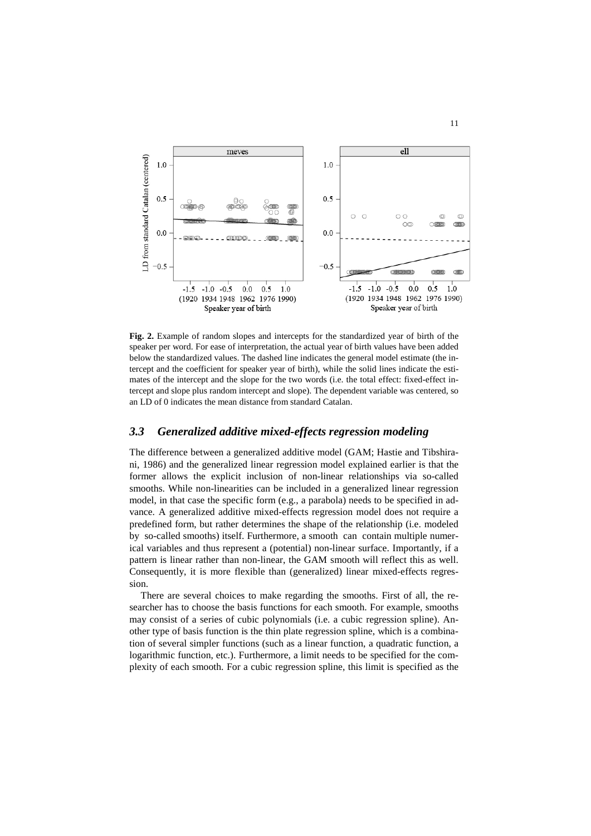

**Fig. 2.** Example of random slopes and intercepts for the standardized year of birth of the speaker per word. For ease of interpretation, the actual year of birth values have been added below the standardized values. The dashed line indicates the general model estimate (the intercept and the coefficient for speaker year of birth), while the solid lines indicate the estimates of the intercept and the slope for the two words (i.e. the total effect: fixed-effect intercept and slope plus random intercept and slope). The dependent variable was centered, so an LD of 0 indicates the mean distance from standard Catalan.

# *3.3 Generalized additive mixed-effects regression modeling*

The difference between a generalized additive model (GAM; Hastie and Tibshirani, 1986) and the generalized linear regression model explained earlier is that the former allows the explicit inclusion of non-linear relationships via so-called smooths. While non-linearities can be included in a generalized linear regression model, in that case the specific form (e.g., a parabola) needs to be specified in advance. A generalized additive mixed-effects regression model does not require a predefined form, but rather determines the shape of the relationship (i.e. modeled by so-called smooths) itself. Furthermore, a smooth can contain multiple numerical variables and thus represent a (potential) non-linear surface. Importantly, if a pattern is linear rather than non-linear, the GAM smooth will reflect this as well. Consequently, it is more flexible than (generalized) linear mixed-effects regression.

There are several choices to make regarding the smooths. First of all, the researcher has to choose the basis functions for each smooth. For example, smooths may consist of a series of cubic polynomials (i.e. a cubic regression spline). Another type of basis function is the thin plate regression spline, which is a combination of several simpler functions (such as a linear function, a quadratic function, a logarithmic function, etc.). Furthermore, a limit needs to be specified for the complexity of each smooth. For a cubic regression spline, this limit is specified as the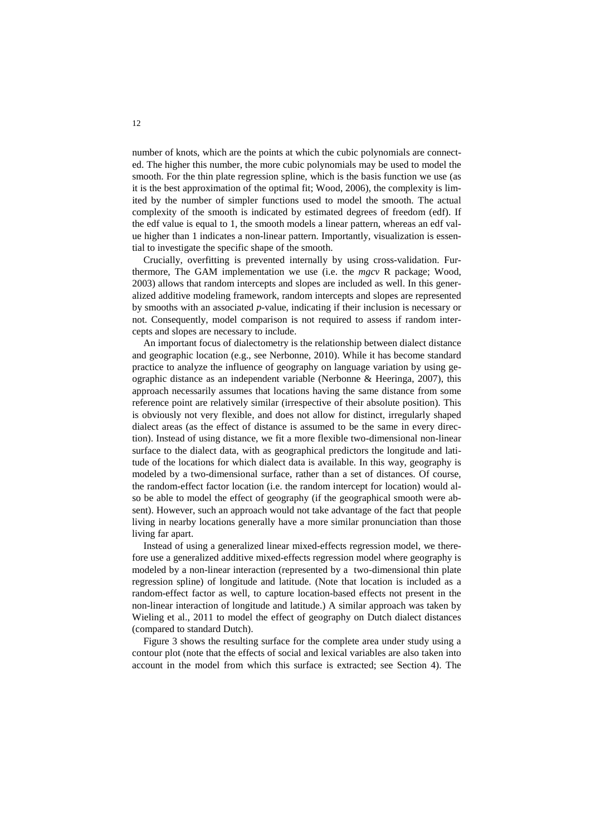number of knots, which are the points at which the cubic polynomials are connected. The higher this number, the more cubic polynomials may be used to model the smooth. For the thin plate regression spline, which is the basis function we use (as it is the best approximation of the optimal fit; Wood, 2006), the complexity is limited by the number of simpler functions used to model the smooth. The actual complexity of the smooth is indicated by estimated degrees of freedom (edf). If the edf value is equal to 1, the smooth models a linear pattern, whereas an edf value higher than 1 indicates a non-linear pattern. Importantly, visualization is essential to investigate the specific shape of the smooth.

Crucially, overfitting is prevented internally by using cross-validation. Furthermore, The GAM implementation we use (i.e. the *mgcv* R package; Wood, 2003) allows that random intercepts and slopes are included as well. In this generalized additive modeling framework, random intercepts and slopes are represented by smooths with an associated *p*-value, indicating if their inclusion is necessary or not. Consequently, model comparison is not required to assess if random intercepts and slopes are necessary to include.

An important focus of dialectometry is the relationship between dialect distance and geographic location (e.g., see Nerbonne, 2010). While it has become standard practice to analyze the influence of geography on language variation by using geographic distance as an independent variable (Nerbonne & Heeringa, 2007), this approach necessarily assumes that locations having the same distance from some reference point are relatively similar (irrespective of their absolute position). This is obviously not very flexible, and does not allow for distinct, irregularly shaped dialect areas (as the effect of distance is assumed to be the same in every direction). Instead of using distance, we fit a more flexible two-dimensional non-linear surface to the dialect data, with as geographical predictors the longitude and latitude of the locations for which dialect data is available. In this way, geography is modeled by a two-dimensional surface, rather than a set of distances. Of course, the random-effect factor location (i.e. the random intercept for location) would also be able to model the effect of geography (if the geographical smooth were absent). However, such an approach would not take advantage of the fact that people living in nearby locations generally have a more similar pronunciation than those living far apart.

Instead of using a generalized linear mixed-effects regression model, we therefore use a generalized additive mixed-effects regression model where geography is modeled by a non-linear interaction (represented by a two-dimensional thin plate regression spline) of longitude and latitude. (Note that location is included as a random-effect factor as well, to capture location-based effects not present in the non-linear interaction of longitude and latitude.) A similar approach was taken by Wieling et al., 2011 to model the effect of geography on Dutch dialect distances (compared to standard Dutch).

Figure 3 shows the resulting surface for the complete area under study using a contour plot (note that the effects of social and lexical variables are also taken into account in the model from which this surface is extracted; see Section 4). The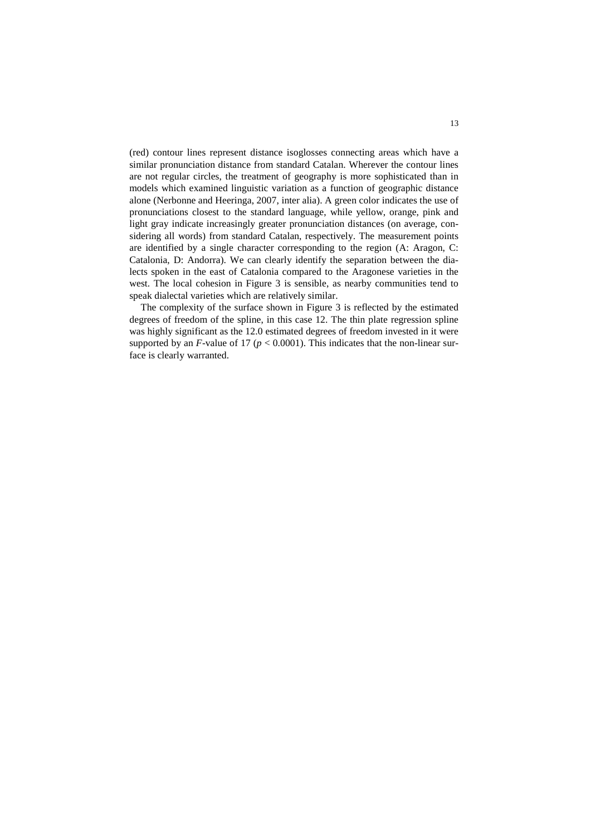(red) contour lines represent distance isoglosses connecting areas which have a similar pronunciation distance from standard Catalan. Wherever the contour lines are not regular circles, the treatment of geography is more sophisticated than in models which examined linguistic variation as a function of geographic distance alone (Nerbonne and Heeringa, 2007, inter alia). A green color indicates the use of pronunciations closest to the standard language, while yellow, orange, pink and light gray indicate increasingly greater pronunciation distances (on average, considering all words) from standard Catalan, respectively. The measurement points are identified by a single character corresponding to the region (A: Aragon, C: Catalonia, D: Andorra). We can clearly identify the separation between the dialects spoken in the east of Catalonia compared to the Aragonese varieties in the west. The local cohesion in Figure 3 is sensible, as nearby communities tend to speak dialectal varieties which are relatively similar.

The complexity of the surface shown in Figure 3 is reflected by the estimated degrees of freedom of the spline, in this case 12. The thin plate regression spline was highly significant as the 12.0 estimated degrees of freedom invested in it were supported by an *F*-value of 17 ( $p < 0.0001$ ). This indicates that the non-linear surface is clearly warranted.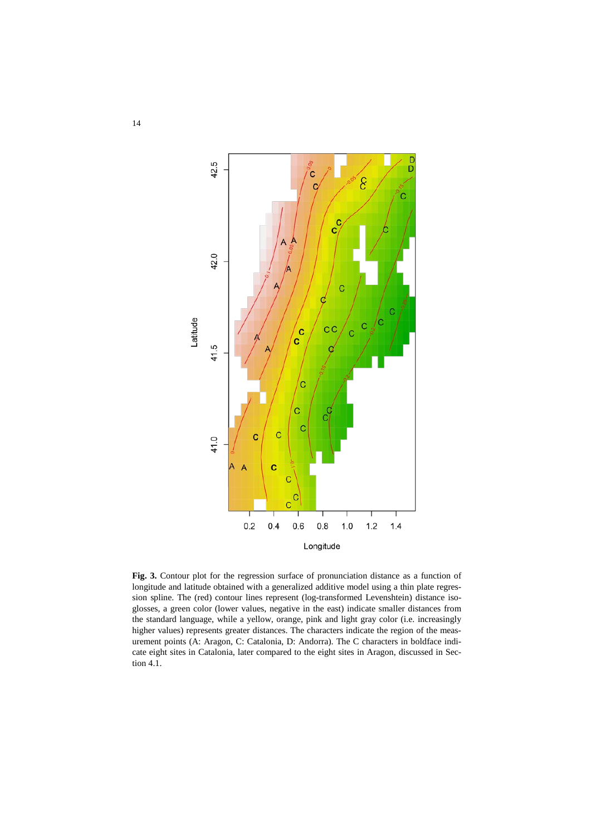

**Fig. 3.** Contour plot for the regression surface of pronunciation distance as a function of longitude and latitude obtained with a generalized additive model using a thin plate regression spline. The (red) contour lines represent (log-transformed Levenshtein) distance isoglosses, a green color (lower values, negative in the east) indicate smaller distances from the standard language, while a yellow, orange, pink and light gray color (i.e. increasingly higher values) represents greater distances. The characters indicate the region of the measurement points (A: Aragon, C: Catalonia, D: Andorra). The C characters in boldface indicate eight sites in Catalonia, later compared to the eight sites in Aragon, discussed in Section 4.1.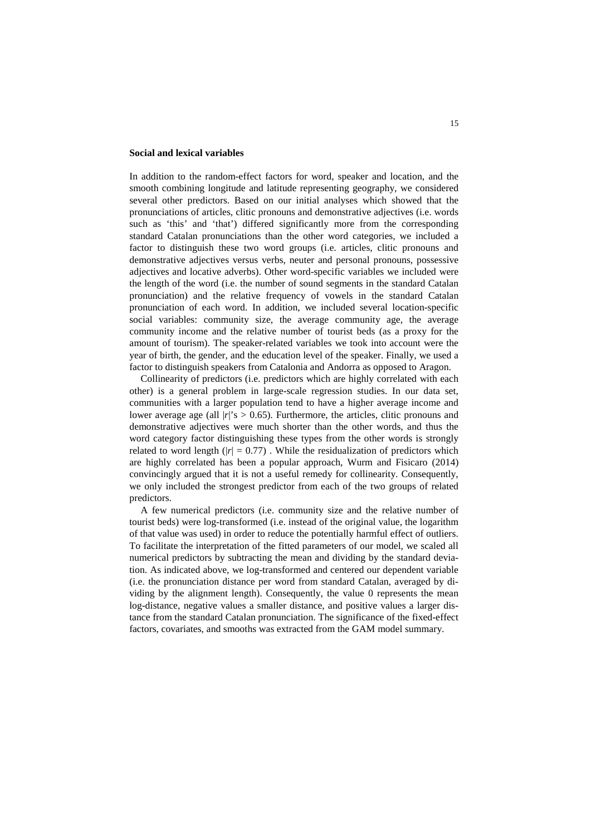#### **Social and lexical variables**

In addition to the random-effect factors for word, speaker and location, and the smooth combining longitude and latitude representing geography, we considered several other predictors. Based on our initial analyses which showed that the pronunciations of articles, clitic pronouns and demonstrative adjectives (i.e. words such as 'this' and 'that') differed significantly more from the corresponding standard Catalan pronunciations than the other word categories, we included a factor to distinguish these two word groups (i.e. articles, clitic pronouns and demonstrative adjectives versus verbs, neuter and personal pronouns, possessive adjectives and locative adverbs). Other word-specific variables we included were the length of the word (i.e. the number of sound segments in the standard Catalan pronunciation) and the relative frequency of vowels in the standard Catalan pronunciation of each word. In addition, we included several location-specific social variables: community size, the average community age, the average community income and the relative number of tourist beds (as a proxy for the amount of tourism). The speaker-related variables we took into account were the year of birth, the gender, and the education level of the speaker. Finally, we used a factor to distinguish speakers from Catalonia and Andorra as opposed to Aragon.

Collinearity of predictors (i.e. predictors which are highly correlated with each other) is a general problem in large-scale regression studies. In our data set, communities with a larger population tend to have a higher average income and lower average age (all  $|r|$ 's  $> 0.65$ ). Furthermore, the articles, clitic pronouns and demonstrative adjectives were much shorter than the other words, and thus the word category factor distinguishing these types from the other words is strongly related to word length  $(|r| = 0.77)$ . While the residualization of predictors which are highly correlated has been a popular approach, Wurm and Fisicaro (2014) convincingly argued that it is not a useful remedy for collinearity. Consequently, we only included the strongest predictor from each of the two groups of related predictors.

A few numerical predictors (i.e. community size and the relative number of tourist beds) were log-transformed (i.e. instead of the original value, the logarithm of that value was used) in order to reduce the potentially harmful effect of outliers. To facilitate the interpretation of the fitted parameters of our model, we scaled all numerical predictors by subtracting the mean and dividing by the standard deviation. As indicated above, we log-transformed and centered our dependent variable (i.e. the pronunciation distance per word from standard Catalan, averaged by dividing by the alignment length). Consequently, the value 0 represents the mean log-distance, negative values a smaller distance, and positive values a larger distance from the standard Catalan pronunciation. The significance of the fixed-effect factors, covariates, and smooths was extracted from the GAM model summary.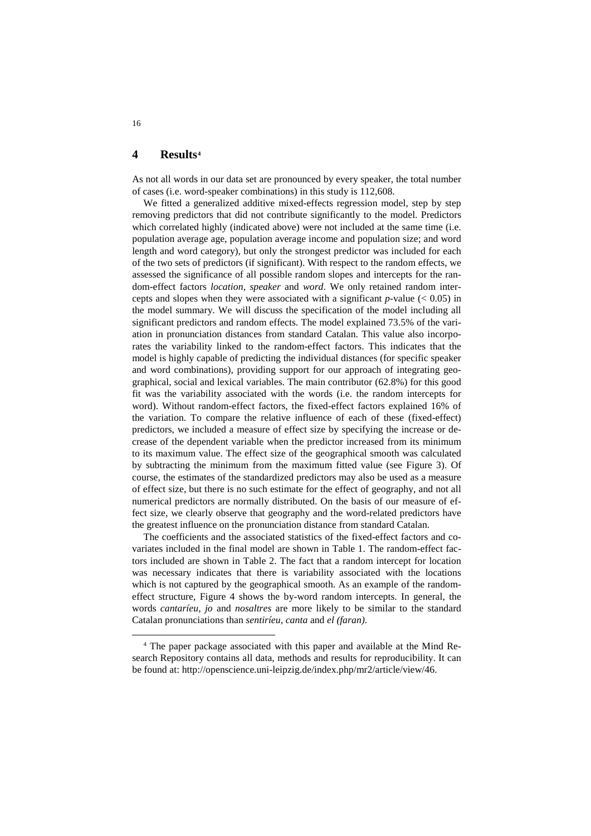## **4 Results[4](#page-15-0)**

As not all words in our data set are pronounced by every speaker, the total number of cases (i.e. word-speaker combinations) in this study is 112,608.

We fitted a generalized additive mixed-effects regression model, step by step removing predictors that did not contribute significantly to the model. Predictors which correlated highly (indicated above) were not included at the same time (i.e. population average age, population average income and population size; and word length and word category), but only the strongest predictor was included for each of the two sets of predictors (if significant). With respect to the random effects, we assessed the significance of all possible random slopes and intercepts for the random-effect factors *location*, *speaker* and *word*. We only retained random intercepts and slopes when they were associated with a significant  $p$ -value ( $< 0.05$ ) in the model summary. We will discuss the specification of the model including all significant predictors and random effects. The model explained 73.5% of the variation in pronunciation distances from standard Catalan. This value also incorporates the variability linked to the random-effect factors. This indicates that the model is highly capable of predicting the individual distances (for specific speaker and word combinations), providing support for our approach of integrating geographical, social and lexical variables. The main contributor (62.8%) for this good fit was the variability associated with the words (i.e. the random intercepts for word). Without random-effect factors, the fixed-effect factors explained 16% of the variation. To compare the relative influence of each of these (fixed-effect) predictors, we included a measure of effect size by specifying the increase or decrease of the dependent variable when the predictor increased from its minimum to its maximum value. The effect size of the geographical smooth was calculated by subtracting the minimum from the maximum fitted value (see Figure 3). Of course, the estimates of the standardized predictors may also be used as a measure of effect size, but there is no such estimate for the effect of geography, and not all numerical predictors are normally distributed. On the basis of our measure of effect size, we clearly observe that geography and the word-related predictors have the greatest influence on the pronunciation distance from standard Catalan.

The coefficients and the associated statistics of the fixed-effect factors and covariates included in the final model are shown in Table 1. The random-effect factors included are shown in Table 2. The fact that a random intercept for location was necessary indicates that there is variability associated with the locations which is not captured by the geographical smooth. As an example of the randomeffect structure, Figure 4 shows the by-word random intercepts. In general, the words *cantaríeu*, *jo* and *nosaltres* are more likely to be similar to the standard Catalan pronunciations than *sentiríeu*, *canta* and *el (faran)*.

<span id="page-15-0"></span> <sup>4</sup> The paper package associated with this paper and available at the Mind Research Repository contains all data, methods and results for reproducibility. It can be found at: [http://openscience.uni-leipzig.de/index.php/mr2/article/view/46.](http://openscience.uni-leipzig.de/index.php/mr2/article/view/46)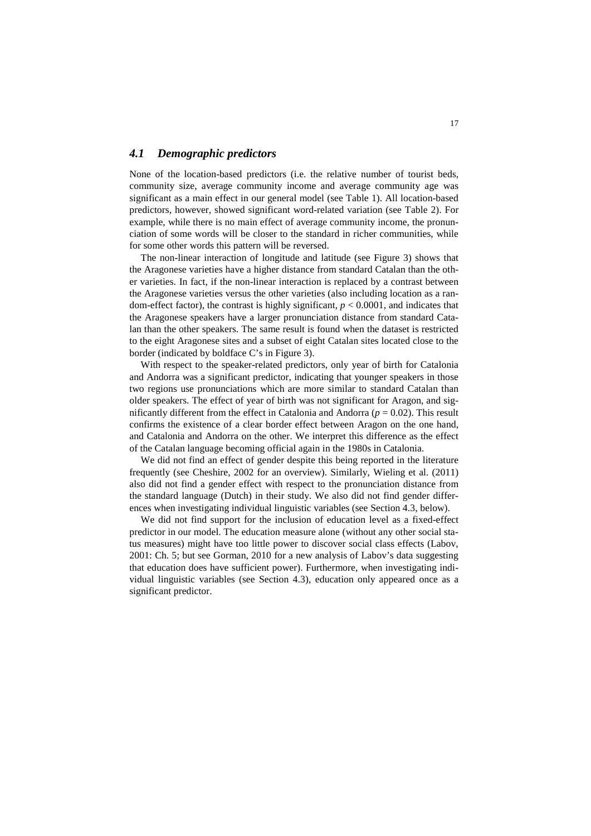## *4.1 Demographic predictors*

None of the location-based predictors (i.e. the relative number of tourist beds, community size, average community income and average community age was significant as a main effect in our general model (see Table 1). All location-based predictors, however, showed significant word-related variation (see Table 2). For example, while there is no main effect of average community income, the pronunciation of some words will be closer to the standard in richer communities, while for some other words this pattern will be reversed.

The non-linear interaction of longitude and latitude (see Figure 3) shows that the Aragonese varieties have a higher distance from standard Catalan than the other varieties. In fact, if the non-linear interaction is replaced by a contrast between the Aragonese varieties versus the other varieties (also including location as a random-effect factor), the contrast is highly significant,  $p < 0.0001$ , and indicates that the Aragonese speakers have a larger pronunciation distance from standard Catalan than the other speakers. The same result is found when the dataset is restricted to the eight Aragonese sites and a subset of eight Catalan sites located close to the border (indicated by boldface C's in Figure 3).

With respect to the speaker-related predictors, only year of birth for Catalonia and Andorra was a significant predictor, indicating that younger speakers in those two regions use pronunciations which are more similar to standard Catalan than older speakers. The effect of year of birth was not significant for Aragon, and significantly different from the effect in Catalonia and Andorra (*p* = 0.02). This result confirms the existence of a clear border effect between Aragon on the one hand, and Catalonia and Andorra on the other. We interpret this difference as the effect of the Catalan language becoming official again in the 1980s in Catalonia.

We did not find an effect of gender despite this being reported in the literature frequently (see Cheshire, 2002 for an overview). Similarly, Wieling et al. (2011) also did not find a gender effect with respect to the pronunciation distance from the standard language (Dutch) in their study. We also did not find gender differences when investigating individual linguistic variables (see Section 4.3, below).

We did not find support for the inclusion of education level as a fixed-effect predictor in our model. The education measure alone (without any other social status measures) might have too little power to discover social class effects (Labov, 2001: Ch. 5; but see Gorman, 2010 for a new analysis of Labov's data suggesting that education does have sufficient power). Furthermore, when investigating individual linguistic variables (see Section 4.3), education only appeared once as a significant predictor.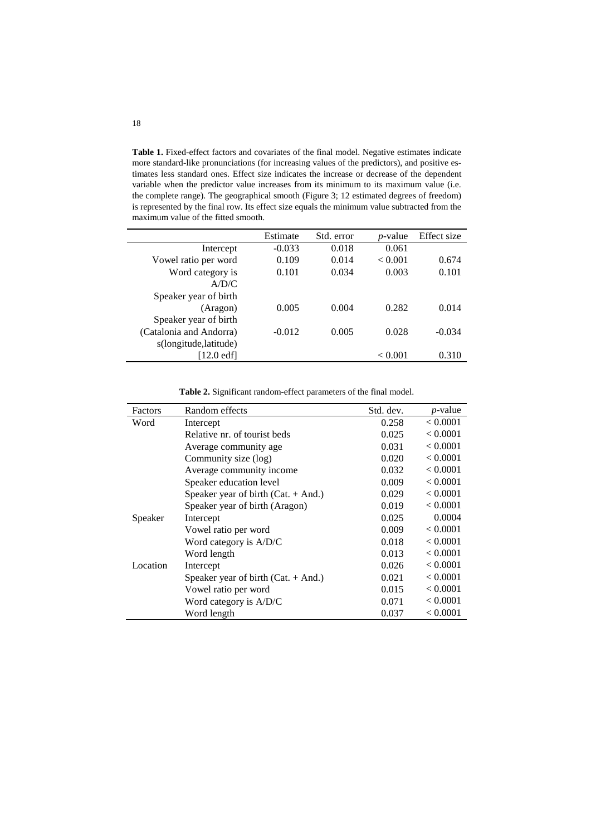**Table 1.** Fixed-effect factors and covariates of the final model. Negative estimates indicate more standard-like pronunciations (for increasing values of the predictors), and positive estimates less standard ones. Effect size indicates the increase or decrease of the dependent variable when the predictor value increases from its minimum to its maximum value (i.e. the complete range). The geographical smooth (Figure 3; 12 estimated degrees of freedom) is represented by the final row. Its effect size equals the minimum value subtracted from the maximum value of the fitted smooth.

|                         | Estimate | Std. error | <i>p</i> -value | Effect size |
|-------------------------|----------|------------|-----------------|-------------|
| Intercept               | $-0.033$ | 0.018      | 0.061           |             |
| Vowel ratio per word    | 0.109    | 0.014      | < 0.001         | 0.674       |
| Word category is        | 0.101    | 0.034      | 0.003           | 0.101       |
| A/D/C                   |          |            |                 |             |
| Speaker year of birth   |          |            |                 |             |
| (Aragon)                | 0.005    | 0.004      | 0.282           | 0.014       |
| Speaker year of birth   |          |            |                 |             |
| (Catalonia and Andorra) | $-0.012$ | 0.005      | 0.028           | $-0.034$    |
| s(longitude,latitude)   |          |            |                 |             |
| [12.0 edf]              |          |            | < 0.001         | 0.310       |

**Table 2.** Significant random-effect parameters of the final model.

| Factors  | Random effects                        | Std. dev. | <i>p</i> -value |
|----------|---------------------------------------|-----------|-----------------|
| Word     | Intercept                             | 0.258     | < 0.0001        |
|          | Relative nr. of tourist beds          | 0.025     | < 0.0001        |
|          | Average community age.                | 0.031     | < 0.0001        |
|          | Community size (log)                  | 0.020     | < 0.0001        |
|          | Average community income              | 0.032     | < 0.0001        |
|          | Speaker education level               | 0.009     | < 0.0001        |
|          | Speaker year of birth $(Cat. + And.)$ | 0.029     | < 0.0001        |
|          | Speaker year of birth (Aragon)        | 0.019     | < 0.0001        |
| Speaker  | Intercept                             | 0.025     | 0.0004          |
|          | Vowel ratio per word                  | 0.009     | < 0.0001        |
|          | Word category is A/D/C                | 0.018     | < 0.0001        |
|          | Word length                           | 0.013     | < 0.0001        |
| Location | Intercept                             | 0.026     | < 0.0001        |
|          | Speaker year of birth $(Cat. + And.)$ | 0.021     | < 0.0001        |
|          | Vowel ratio per word                  | 0.015     | < 0.0001        |
|          | Word category is A/D/C                | 0.071     | < 0.0001        |
|          | Word length                           | 0.037     | < 0.0001        |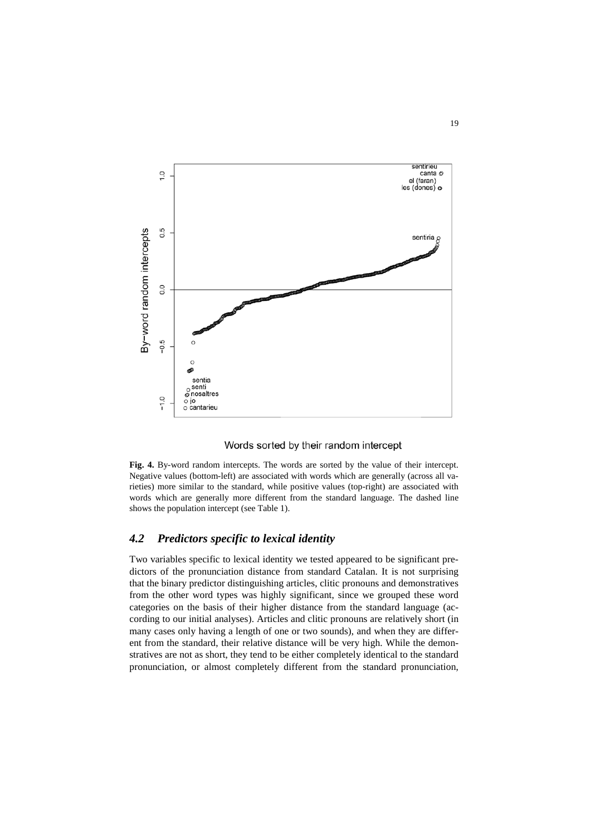



**Fig. 4.** By-word random intercepts. The words are sorted by the value of their intercept. Negative values (bottom-left) are associated with words which are generally (across all varieties) more similar to the standard, while positive values (top-right) are associated with words which are generally more different from the standard language. The dashed line shows the population intercept (see Table 1).

## *4.2 Predictors specific to lexical identity*

Two variables specific to lexical identity we tested appeared to be significant predictors of the pronunciation distance from standard Catalan. It is not surprising that the binary predictor distinguishing articles, clitic pronouns and demonstratives from the other word types was highly significant, since we grouped these word categories on the basis of their higher distance from the standard language (according to our initial analyses). Articles and clitic pronouns are relatively short (in many cases only having a length of one or two sounds), and when they are different from the standard, their relative distance will be very high. While the demonstratives are not as short, they tend to be either completely identical to the standard pronunciation, or almost completely different from the standard pronunciation,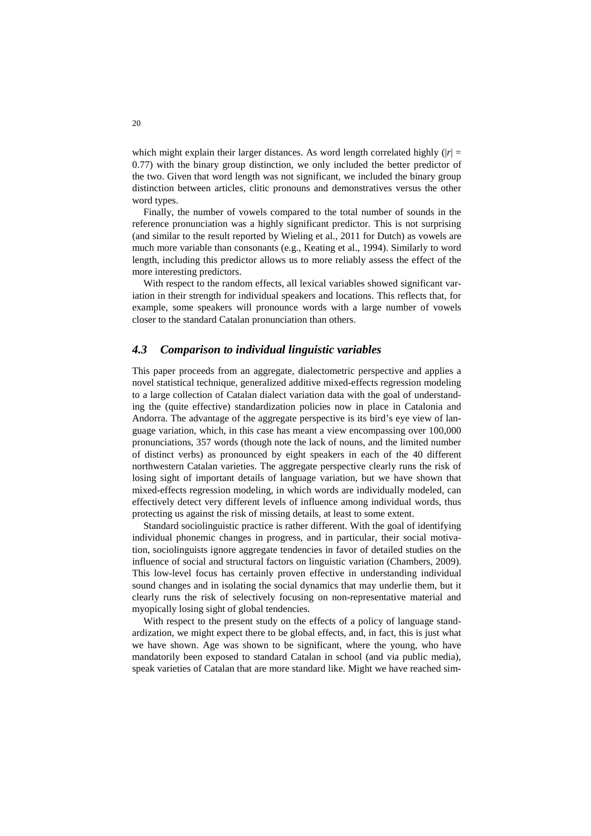which might explain their larger distances. As word length correlated highly  $(|r| =$ 0.77) with the binary group distinction, we only included the better predictor of the two. Given that word length was not significant, we included the binary group distinction between articles, clitic pronouns and demonstratives versus the other word types.

Finally, the number of vowels compared to the total number of sounds in the reference pronunciation was a highly significant predictor. This is not surprising (and similar to the result reported by Wieling et al., 2011 for Dutch) as vowels are much more variable than consonants (e.g., Keating et al., 1994). Similarly to word length, including this predictor allows us to more reliably assess the effect of the more interesting predictors.

With respect to the random effects, all lexical variables showed significant variation in their strength for individual speakers and locations. This reflects that, for example, some speakers will pronounce words with a large number of vowels closer to the standard Catalan pronunciation than others.

## *4.3 Comparison to individual linguistic variables*

This paper proceeds from an aggregate, dialectometric perspective and applies a novel statistical technique, generalized additive mixed-effects regression modeling to a large collection of Catalan dialect variation data with the goal of understanding the (quite effective) standardization policies now in place in Catalonia and Andorra. The advantage of the aggregate perspective is its bird's eye view of language variation, which, in this case has meant a view encompassing over 100,000 pronunciations, 357 words (though note the lack of nouns, and the limited number of distinct verbs) as pronounced by eight speakers in each of the 40 different northwestern Catalan varieties. The aggregate perspective clearly runs the risk of losing sight of important details of language variation, but we have shown that mixed-effects regression modeling, in which words are individually modeled, can effectively detect very different levels of influence among individual words, thus protecting us against the risk of missing details, at least to some extent.

Standard sociolinguistic practice is rather different. With the goal of identifying individual phonemic changes in progress, and in particular, their social motivation, sociolinguists ignore aggregate tendencies in favor of detailed studies on the influence of social and structural factors on linguistic variation (Chambers, 2009). This low-level focus has certainly proven effective in understanding individual sound changes and in isolating the social dynamics that may underlie them, but it clearly runs the risk of selectively focusing on non-representative material and myopically losing sight of global tendencies.

With respect to the present study on the effects of a policy of language standardization, we might expect there to be global effects, and, in fact, this is just what we have shown. Age was shown to be significant, where the young, who have mandatorily been exposed to standard Catalan in school (and via public media), speak varieties of Catalan that are more standard like. Might we have reached sim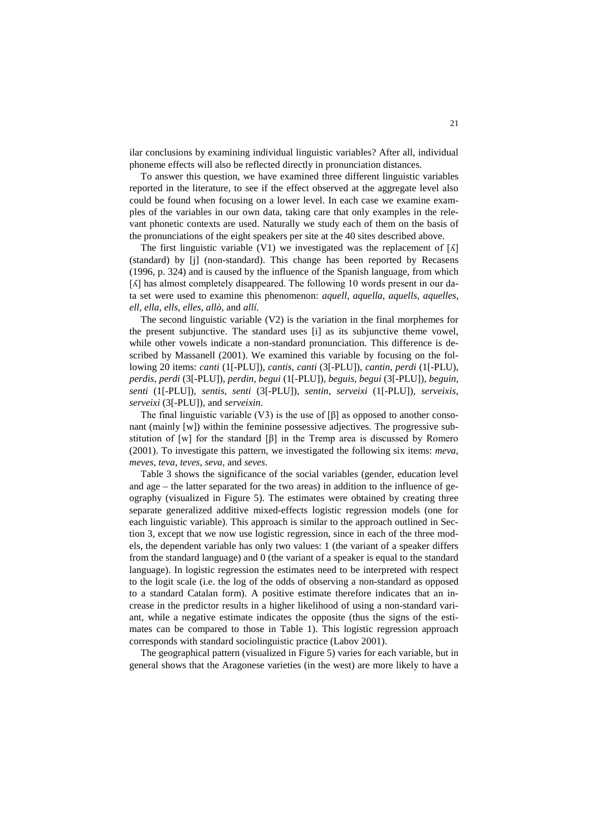ilar conclusions by examining individual linguistic variables? After all, individual phoneme effects will also be reflected directly in pronunciation distances.

To answer this question, we have examined three different linguistic variables reported in the literature, to see if the effect observed at the aggregate level also could be found when focusing on a lower level. In each case we examine examples of the variables in our own data, taking care that only examples in the relevant phonetic contexts are used. Naturally we study each of them on the basis of the pronunciations of the eight speakers per site at the 40 sites described above.

The first linguistic variable  $(V1)$  we investigated was the replacement of  $\lceil \Lambda \rceil$ (standard) by [j] (non-standard). This change has been reported by Recasens (1996, p. 324) and is caused by the influence of the Spanish language, from which [ $\Lambda$ ] has almost completely disappeared. The following 10 words present in our data set were used to examine this phenomenon: *aquell*, *aquella*, *aquells*, *aquelles*, *ell*, *ella*, *ells*, *elles*, *allò*, and *allí*.

The second linguistic variable (V2) is the variation in the final morphemes for the present subjunctive. The standard uses [i] as its subjunctive theme vowel, while other vowels indicate a non-standard pronunciation. This difference is described by Massanell (2001). We examined this variable by focusing on the following 20 items: *canti* (1[-PLU]), *cantis*, *canti* (3[-PLU]), *cantin*, *perdi* (1[-PLU), *perdis*, *perdi* (3[-PLU]), *perdin*, *begui* (1[-PLU])*, beguis, begui* (3[-PLU])*, beguin, senti* (1[-PLU])*, sentis, senti* (3[-PLU])*, sentin, serveixi* (1[-PLU])*, serveixis, serveixi* (3[-PLU]), and *serveixin*.

The final linguistic variable (V3) is the use of  $\lceil \beta \rceil$  as opposed to another consonant (mainly [w]) within the feminine possessive adjectives. The progressive substitution of [w] for the standard [β] in the Tremp area is discussed by Romero (2001). To investigate this pattern, we investigated the following six items: *meva*, *meves*, *teva*, *teves*, *seva*, and *seves*.

Table 3 shows the significance of the social variables (gender, education level and age – the latter separated for the two areas) in addition to the influence of geography (visualized in Figure 5). The estimates were obtained by creating three separate generalized additive mixed-effects logistic regression models (one for each linguistic variable). This approach is similar to the approach outlined in Section 3, except that we now use logistic regression, since in each of the three models, the dependent variable has only two values: 1 (the variant of a speaker differs from the standard language) and 0 (the variant of a speaker is equal to the standard language). In logistic regression the estimates need to be interpreted with respect to the logit scale (i.e. the log of the odds of observing a non-standard as opposed to a standard Catalan form). A positive estimate therefore indicates that an increase in the predictor results in a higher likelihood of using a non-standard variant, while a negative estimate indicates the opposite (thus the signs of the estimates can be compared to those in Table 1). This logistic regression approach corresponds with standard sociolinguistic practice (Labov 2001).

The geographical pattern (visualized in Figure 5) varies for each variable, but in general shows that the Aragonese varieties (in the west) are more likely to have a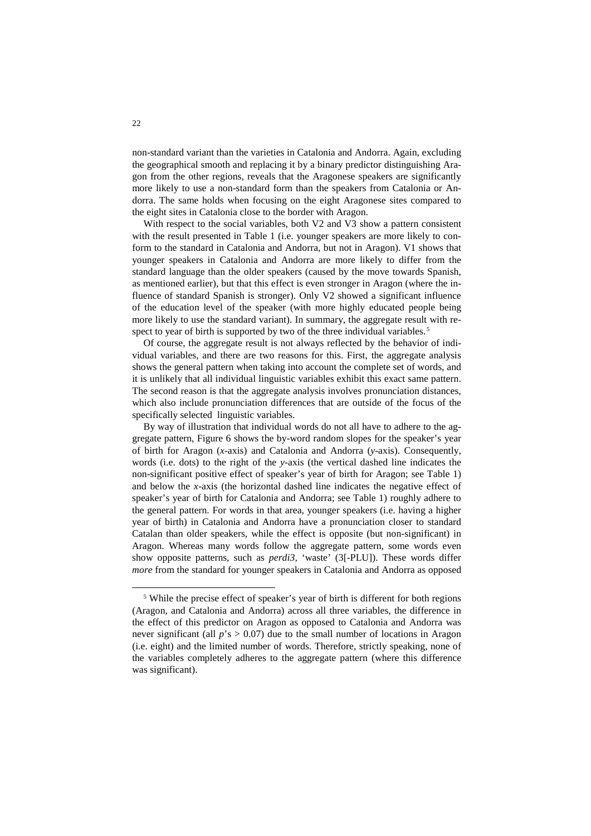non-standard variant than the varieties in Catalonia and Andorra. Again, excluding the geographical smooth and replacing it by a binary predictor distinguishing Aragon from the other regions, reveals that the Aragonese speakers are significantly more likely to use a non-standard form than the speakers from Catalonia or Andorra. The same holds when focusing on the eight Aragonese sites compared to the eight sites in Catalonia close to the border with Aragon.

With respect to the social variables, both V2 and V3 show a pattern consistent with the result presented in Table 1 (i.e. younger speakers are more likely to conform to the standard in Catalonia and Andorra, but not in Aragon). V1 shows that younger speakers in Catalonia and Andorra are more likely to differ from the standard language than the older speakers (caused by the move towards Spanish, as mentioned earlier), but that this effect is even stronger in Aragon (where the influence of standard Spanish is stronger). Only V2 showed a significant influence of the education level of the speaker (with more highly educated people being more likely to use the standard variant). In summary, the aggregate result with re-spect to year of birth is supported by two of the three individual variables.<sup>[5](#page-21-0)</sup>

Of course, the aggregate result is not always reflected by the behavior of individual variables, and there are two reasons for this. First, the aggregate analysis shows the general pattern when taking into account the complete set of words, and it is unlikely that all individual linguistic variables exhibit this exact same pattern. The second reason is that the aggregate analysis involves pronunciation distances, which also include pronunciation differences that are outside of the focus of the specifically selected linguistic variables.

By way of illustration that individual words do not all have to adhere to the aggregate pattern, Figure 6 shows the by-word random slopes for the speaker's year of birth for Aragon (*x*-axis) and Catalonia and Andorra (*y*-axis). Consequently, words (i.e. dots) to the right of the *y-*axis (the vertical dashed line indicates the non-significant positive effect of speaker's year of birth for Aragon; see Table 1) and below the *x*-axis (the horizontal dashed line indicates the negative effect of speaker's year of birth for Catalonia and Andorra; see Table 1) roughly adhere to the general pattern. For words in that area, younger speakers (i.e. having a higher year of birth) in Catalonia and Andorra have a pronunciation closer to standard Catalan than older speakers, while the effect is opposite (but non-significant) in Aragon. Whereas many words follow the aggregate pattern, some words even show opposite patterns, such as *perdi3*, 'waste' (3[-PLU]). These words differ *more* from the standard for younger speakers in Catalonia and Andorra as opposed

<span id="page-21-0"></span> <sup>5</sup> While the precise effect of speaker's year of birth is different for both regions (Aragon, and Catalonia and Andorra) across all three variables, the difference in the effect of this predictor on Aragon as opposed to Catalonia and Andorra was never significant (all  $p$ 's  $> 0.07$ ) due to the small number of locations in Aragon (i.e. eight) and the limited number of words. Therefore, strictly speaking, none of the variables completely adheres to the aggregate pattern (where this difference was significant).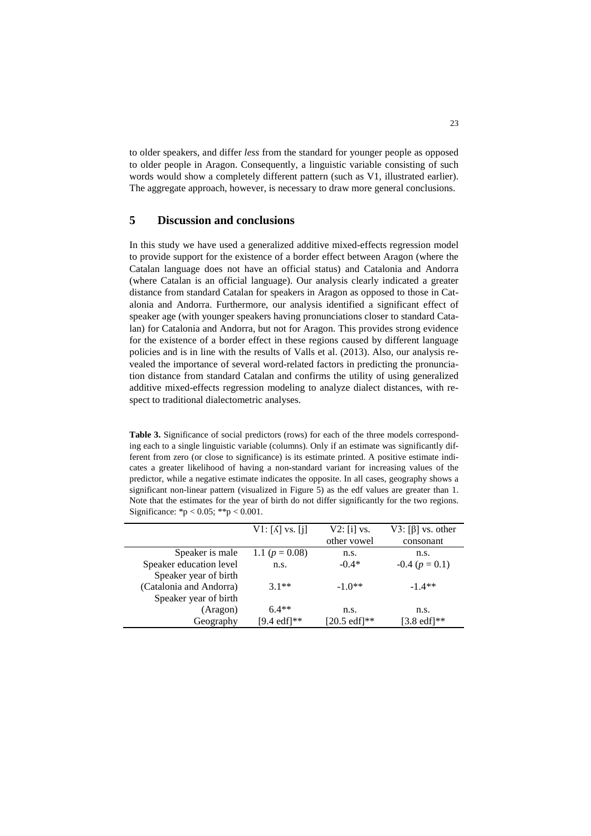to older speakers, and differ *less* from the standard for younger people as opposed to older people in Aragon. Consequently, a linguistic variable consisting of such words would show a completely different pattern (such as V1, illustrated earlier). The aggregate approach, however, is necessary to draw more general conclusions.

# **5 Discussion and conclusions**

In this study we have used a generalized additive mixed-effects regression model to provide support for the existence of a border effect between Aragon (where the Catalan language does not have an official status) and Catalonia and Andorra (where Catalan is an official language). Our analysis clearly indicated a greater distance from standard Catalan for speakers in Aragon as opposed to those in Catalonia and Andorra. Furthermore, our analysis identified a significant effect of speaker age (with younger speakers having pronunciations closer to standard Catalan) for Catalonia and Andorra, but not for Aragon. This provides strong evidence for the existence of a border effect in these regions caused by different language policies and is in line with the results of Valls et al. (2013). Also, our analysis revealed the importance of several word-related factors in predicting the pronunciation distance from standard Catalan and confirms the utility of using generalized additive mixed-effects regression modeling to analyze dialect distances, with respect to traditional dialectometric analyses.

**Table 3.** Significance of social predictors (rows) for each of the three models corresponding each to a single linguistic variable (columns). Only if an estimate was significantly different from zero (or close to significance) is its estimate printed. A positive estimate indicates a greater likelihood of having a non-standard variant for increasing values of the predictor, while a negative estimate indicates the opposite. In all cases, geography shows a significant non-linear pattern (visualized in Figure 5) as the edf values are greater than 1. Note that the estimates for the year of birth do not differ significantly for the two regions. Significance:  $*p < 0.05$ ;  $**p < 0.001$ .

|                         | $V1: [\Lambda]$ vs. [j] | V2: [i] vs.             | V3: $\lceil \beta \rceil$ vs. other |
|-------------------------|-------------------------|-------------------------|-------------------------------------|
|                         |                         | other vowel             | consonant                           |
| Speaker is male         | 1.1 ( $p = 0.08$ )      | n.s.                    | n.s.                                |
| Speaker education level | n.s.                    | $-0.4*$                 | $-0.4$ ( $p = 0.1$ )                |
| Speaker year of birth   |                         |                         |                                     |
| (Catalonia and Andorra) | $31**$                  | $-1.0**$                | $-1.4**$                            |
| Speaker year of birth   |                         |                         |                                     |
| (Aragon)                | $6.4**$                 | n.s.                    | n.s.                                |
| Geography               | $[9.4 \text{ edf}]$ **  | $[20.5 \text{ edf}]$ ** | $[3.8 \text{ edf}]$ **              |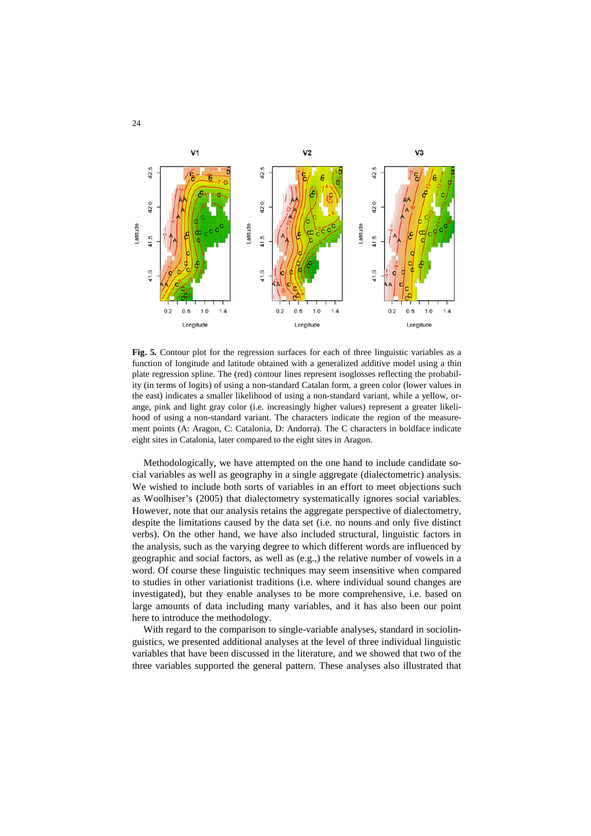

**Fig. 5.** Contour plot for the regression surfaces for each of three linguistic variables as a function of longitude and latitude obtained with a generalized additive model using a thin plate regression spline. The (red) contour lines represent isoglosses reflecting the probability (in terms of logits) of using a non-standard Catalan form, a green color (lower values in the east) indicates a smaller likelihood of using a non-standard variant, while a yellow, orange, pink and light gray color (i.e. increasingly higher values) represent a greater likelihood of using a non-standard variant. The characters indicate the region of the measurement points (A: Aragon, C: Catalonia, D: Andorra). The C characters in boldface indicate eight sites in Catalonia, later compared to the eight sites in Aragon.

Methodologically, we have attempted on the one hand to include candidate social variables as well as geography in a single aggregate (dialectometric) analysis. We wished to include both sorts of variables in an effort to meet objections such as Woolhiser's (2005) that dialectometry systematically ignores social variables. However, note that our analysis retains the aggregate perspective of dialectometry, despite the limitations caused by the data set (i.e. no nouns and only five distinct verbs). On the other hand, we have also included structural, linguistic factors in the analysis, such as the varying degree to which different words are influenced by geographic and social factors, as well as (e.g.,) the relative number of vowels in a word. Of course these linguistic techniques may seem insensitive when compared to studies in other variationist traditions (i.e. where individual sound changes are investigated), but they enable analyses to be more comprehensive, i.e. based on large amounts of data including many variables, and it has also been our point here to introduce the methodology.

With regard to the comparison to single-variable analyses, standard in sociolinguistics, we presented additional analyses at the level of three individual linguistic variables that have been discussed in the literature, and we showed that two of the three variables supported the general pattern. These analyses also illustrated that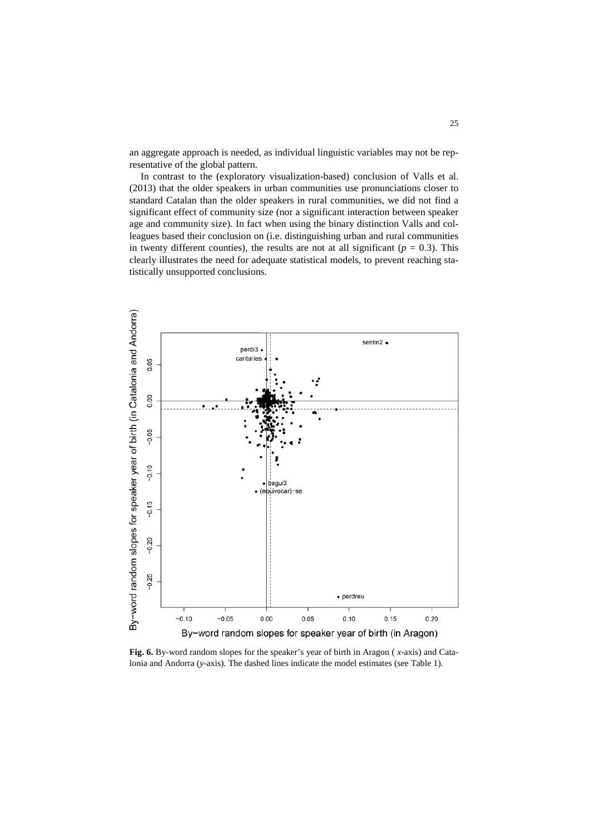an aggregate approach is needed, as individual linguistic variables may not be representative of the global pattern.

In contrast to the (exploratory visualization-based) conclusion of Valls et al. (2013) that the older speakers in urban communities use pronunciations closer to standard Catalan than the older speakers in rural communities, we did not find a significant effect of community size (nor a significant interaction between speaker age and community size). In fact when using the binary distinction Valls and colleagues based their conclusion on (i.e. distinguishing urban and rural communities in twenty different counties), the results are not at all significant ( $p = 0.3$ ). This clearly illustrates the need for adequate statistical models, to prevent reaching statistically unsupported conclusions.



**Fig. 6.** By-word random slopes for the speaker's year of birth in Aragon ( *x*-axis) and Catalonia and Andorra (*y*-axis). The dashed lines indicate the model estimates (see Table 1).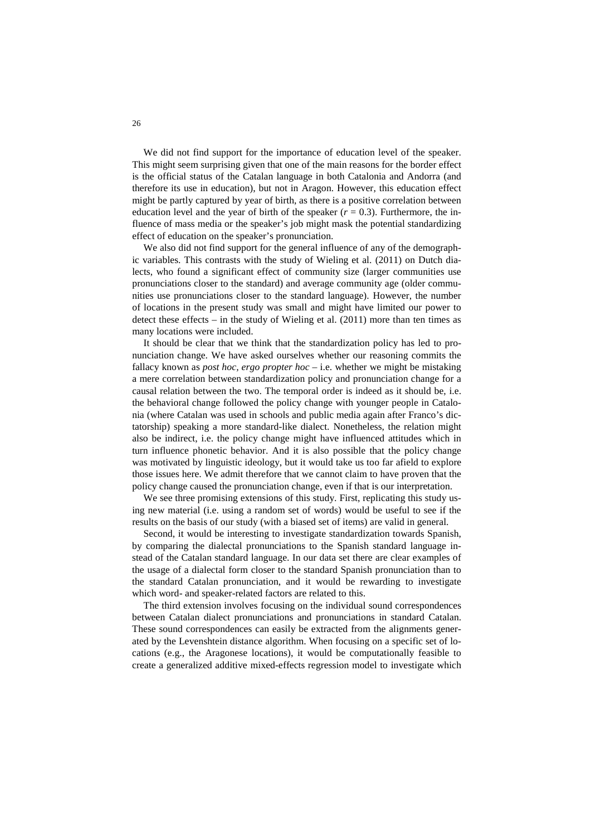We did not find support for the importance of education level of the speaker. This might seem surprising given that one of the main reasons for the border effect is the official status of the Catalan language in both Catalonia and Andorra (and therefore its use in education), but not in Aragon. However, this education effect might be partly captured by year of birth, as there is a positive correlation between education level and the year of birth of the speaker  $(r = 0.3)$ . Furthermore, the influence of mass media or the speaker's job might mask the potential standardizing effect of education on the speaker's pronunciation.

We also did not find support for the general influence of any of the demographic variables. This contrasts with the study of Wieling et al. (2011) on Dutch dialects, who found a significant effect of community size (larger communities use pronunciations closer to the standard) and average community age (older communities use pronunciations closer to the standard language). However, the number of locations in the present study was small and might have limited our power to detect these effects – in the study of Wieling et al. (2011) more than ten times as many locations were included.

It should be clear that we think that the standardization policy has led to pronunciation change. We have asked ourselves whether our reasoning commits the fallacy known as *post hoc, ergo propter hoc* – i.e. whether we might be mistaking a mere correlation between standardization policy and pronunciation change for a causal relation between the two. The temporal order is indeed as it should be, i.e. the behavioral change followed the policy change with younger people in Catalonia (where Catalan was used in schools and public media again after Franco's dictatorship) speaking a more standard-like dialect. Nonetheless, the relation might also be indirect, i.e. the policy change might have influenced attitudes which in turn influence phonetic behavior. And it is also possible that the policy change was motivated by linguistic ideology, but it would take us too far afield to explore those issues here. We admit therefore that we cannot claim to have proven that the policy change caused the pronunciation change, even if that is our interpretation.

We see three promising extensions of this study. First, replicating this study using new material (i.e. using a random set of words) would be useful to see if the results on the basis of our study (with a biased set of items) are valid in general.

Second, it would be interesting to investigate standardization towards Spanish, by comparing the dialectal pronunciations to the Spanish standard language instead of the Catalan standard language. In our data set there are clear examples of the usage of a dialectal form closer to the standard Spanish pronunciation than to the standard Catalan pronunciation, and it would be rewarding to investigate which word- and speaker-related factors are related to this.

The third extension involves focusing on the individual sound correspondences between Catalan dialect pronunciations and pronunciations in standard Catalan. These sound correspondences can easily be extracted from the alignments generated by the Levenshtein distance algorithm. When focusing on a specific set of locations (e.g., the Aragonese locations), it would be computationally feasible to create a generalized additive mixed-effects regression model to investigate which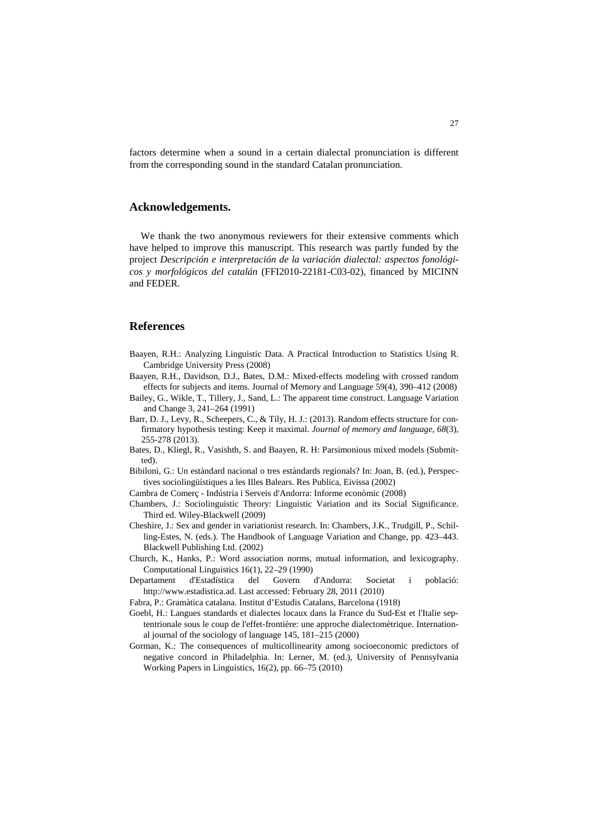factors determine when a sound in a certain dialectal pronunciation is different from the corresponding sound in the standard Catalan pronunciation.

## **Acknowledgements.**

We thank the two anonymous reviewers for their extensive comments which have helped to improve this manuscript. This research was partly funded by the project *Descripción e interpretación de la variación dialectal: aspectos fonológicos y morfológicos del catalán* (FFI2010-22181-C03-02), financed by MICINN and FEDER.

#### **References**

- Baayen, R.H.: Analyzing Linguistic Data. A Practical Introduction to Statistics Using R. Cambridge University Press (2008)
- Baayen, R.H., Davidson, D.J., Bates, D.M.: Mixed-effects modeling with crossed random effects for subjects and items. Journal of Memory and Language 59(4), 390–412 (2008)
- Bailey, G., Wikle, T., Tillery, J., Sand, L.: The apparent time construct. Language Variation and Change 3, 241–264 (1991)
- Barr, D. J., Levy, R., Scheepers, C., & Tily, H. J.: (2013). Random effects structure for confirmatory hypothesis testing: Keep it maximal. *Journal of memory and language*, *68*(3), 255-278 (2013).
- Bates, D., Kliegl, R., Vasishth, S. and Baayen, R. H: Parsimonious mixed models (Submitted).
- Bibiloni, G.: Un estàndard nacional o tres estàndards regionals? In: Joan, B. (ed.), Perspectives sociolingüístiques a les Illes Balears. Res Publica, Eivissa (2002)
- Cambra de Comerç Indústria i Serveis d'Andorra: Informe econòmic (2008)
- Chambers, J.: Sociolinguistic Theory: Linguistic Variation and its Social Significance. Third ed. Wiley-Blackwell (2009)
- Cheshire, J.: Sex and gender in variationist research. In: Chambers, J.K., Trudgill, P., Schilling-Estes, N. (eds.). The Handbook of Language Variation and Change, pp. 423–443. Blackwell Publishing Ltd. (2002)
- Church, K., Hanks, P.: Word association norms, mutual information, and lexicography. Computational Linguistics 16(1), 22–29 (1990)
- Departament d'Estadística del Govern d'Andorra: Societat i població: http://www.estadistica.ad. Last accessed: February 28, 2011 (2010)
- Fabra, P.: Gramàtica catalana. Institut d'Estudis Catalans, Barcelona (1918)
- Goebl, H.: Langues standards et dialectes locaux dans la France du Sud-Est et l'Italie septentrionale sous le coup de l'effet-frontière: une approche dialectomètrique. International journal of the sociology of language 145, 181–215 (2000)
- Gorman, K.: The consequences of multicollinearity among socioeconomic predictors of negative concord in Philadelphia. In: Lerner, M. (ed.), University of Pennsylvania Working Papers in Linguistics, 16(2), pp. 66–75 (2010)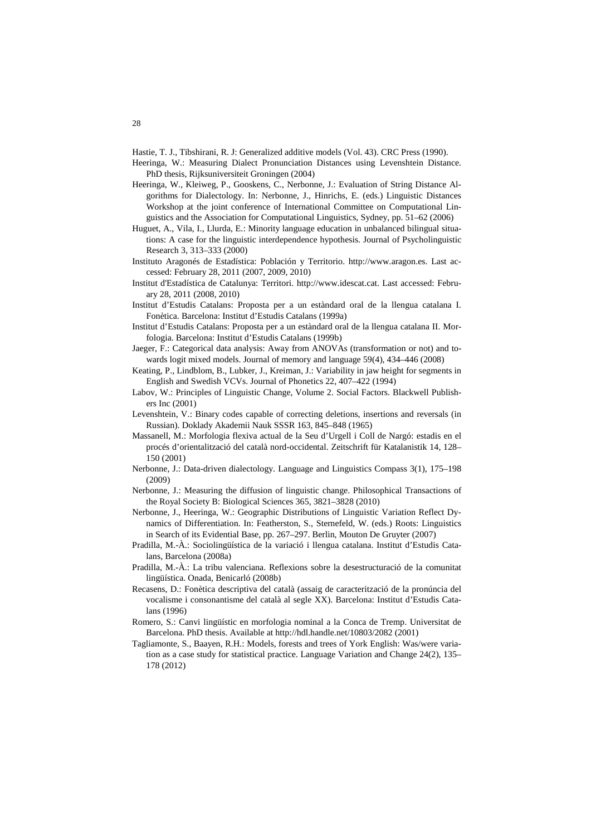Hastie, T. J., Tibshirani, R. J: Generalized additive models (Vol. 43). CRC Press (1990).

- Heeringa, W.: Measuring Dialect Pronunciation Distances using Levenshtein Distance. PhD thesis, Rijksuniversiteit Groningen (2004)
- Heeringa, W., Kleiweg, P., Gooskens, C., Nerbonne, J.: Evaluation of String Distance Algorithms for Dialectology. In: Nerbonne, J., Hinrichs, E. (eds.) Linguistic Distances Workshop at the joint conference of International Committee on Computational Linguistics and the Association for Computational Linguistics, Sydney, pp. 51–62 (2006)
- Huguet, A., Vila, I., Llurda, E.: Minority language education in unbalanced bilingual situations: A case for the linguistic interdependence hypothesis. Journal of Psycholinguistic Research 3, 313–333 (2000)
- Instituto Aragonés de Estadística: Población y Territorio. http://www.aragon.es. Last accessed: February 28, 2011 (2007, 2009, 2010)
- Institut d'Estadística de Catalunya: Territori. http://www.idescat.cat. Last accessed: February 28, 2011 (2008, 2010)
- Institut d'Estudis Catalans: Proposta per a un estàndard oral de la llengua catalana I. Fonètica. Barcelona: Institut d'Estudis Catalans (1999a)
- Institut d'Estudis Catalans: Proposta per a un estàndard oral de la llengua catalana II. Morfologia. Barcelona: Institut d'Estudis Catalans (1999b)
- Jaeger, F.: Categorical data analysis: Away from ANOVAs (transformation or not) and towards logit mixed models. Journal of memory and language 59(4), 434–446 (2008)
- Keating, P., Lindblom, B., Lubker, J., Kreiman, J.: Variability in jaw height for segments in English and Swedish VCVs. Journal of Phonetics 22, 407–422 (1994)
- Labov, W.: Principles of Linguistic Change, Volume 2. Social Factors. Blackwell Publishers Inc (2001)
- Levenshtein, V.: Binary codes capable of correcting deletions, insertions and reversals (in Russian). Doklady Akademii Nauk SSSR 163, 845–848 (1965)
- Massanell, M.: Morfologia flexiva actual de la Seu d'Urgell i Coll de Nargó: estadis en el procés d'orientalització del català nord-occidental. Zeitschrift für Katalanistik 14, 128– 150 (2001)
- Nerbonne, J.: Data-driven dialectology. Language and Linguistics Compass 3(1), 175–198 (2009)
- Nerbonne, J.: Measuring the diffusion of linguistic change. Philosophical Transactions of the Royal Society B: Biological Sciences 365, 3821–3828 (2010)
- Nerbonne, J., Heeringa, W.: Geographic Distributions of Linguistic Variation Reflect Dynamics of Differentiation. In: Featherston, S., Sternefeld, W. (eds.) Roots: Linguistics in Search of its Evidential Base, pp. 267–297. Berlin, Mouton De Gruyter (2007)
- Pradilla, M.-À.: Sociolingüística de la variació i llengua catalana. Institut d'Estudis Catalans, Barcelona (2008a)
- Pradilla, M.-À.: La tribu valenciana. Reflexions sobre la desestructuració de la comunitat lingüística. Onada, Benicarló (2008b)
- Recasens, D.: Fonètica descriptiva del català (assaig de caracterització de la pronúncia del vocalisme i consonantisme del català al segle XX). Barcelona: Institut d'Estudis Catalans (1996)
- Romero, S.: Canvi lingüístic en morfologia nominal a la Conca de Tremp. Universitat de Barcelona. PhD thesis. Available at http://hdl.handle.net/10803/2082 (2001)
- Tagliamonte, S., Baayen, R.H.: Models, forests and trees of York English: Was/were variation as a case study for statistical practice. Language Variation and Change 24(2), 135– 178 (2012)